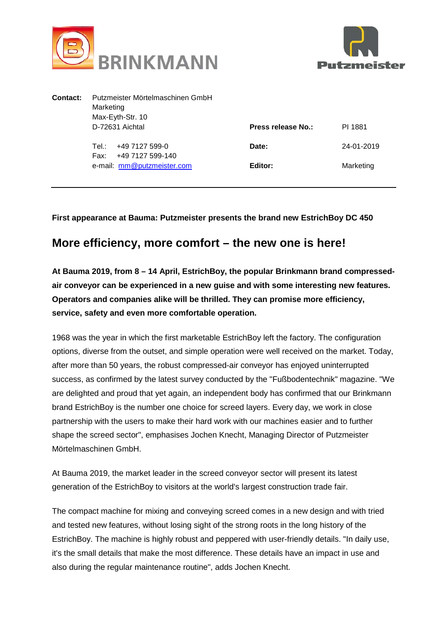



| Contact: | Putzmeister Mörtelmaschinen GmbH<br>Marketing<br>Max-Eyth-Str. 10 |                    |            |
|----------|-------------------------------------------------------------------|--------------------|------------|
|          | D-72631 Aichtal                                                   | Press release No.: | PI 1881    |
|          | +49 7127 599-0<br>Tel∴<br>+49 7127 599-140<br>Fax:                | Date:              | 24-01-2019 |
|          | e-mail: mm@putzmeister.com                                        | Editor:            | Marketing  |
|          |                                                                   |                    |            |

**First appearance at Bauma: Putzmeister presents the brand new EstrichBoy DC 450**

## **More efficiency, more comfort – the new one is here!**

**At Bauma 2019, from 8 – 14 April, EstrichBoy, the popular Brinkmann brand compressedair conveyor can be experienced in a new guise and with some interesting new features. Operators and companies alike will be thrilled. They can promise more efficiency, service, safety and even more comfortable operation.**

1968 was the year in which the first marketable EstrichBoy left the factory. The configuration options, diverse from the outset, and simple operation were well received on the market. Today, after more than 50 years, the robust compressed-air conveyor has enjoyed uninterrupted success, as confirmed by the latest survey conducted by the "Fußbodentechnik" magazine. "We are delighted and proud that yet again, an independent body has confirmed that our Brinkmann brand EstrichBoy is the number one choice for screed layers. Every day, we work in close partnership with the users to make their hard work with our machines easier and to further shape the screed sector", emphasises Jochen Knecht, Managing Director of Putzmeister Mörtelmaschinen GmbH.

At Bauma 2019, the market leader in the screed conveyor sector will present its latest generation of the EstrichBoy to visitors at the world's largest construction trade fair.

The compact machine for mixing and conveying screed comes in a new design and with tried and tested new features, without losing sight of the strong roots in the long history of the EstrichBoy. The machine is highly robust and peppered with user-friendly details. "In daily use, it's the small details that make the most difference. These details have an impact in use and also during the regular maintenance routine", adds Jochen Knecht.